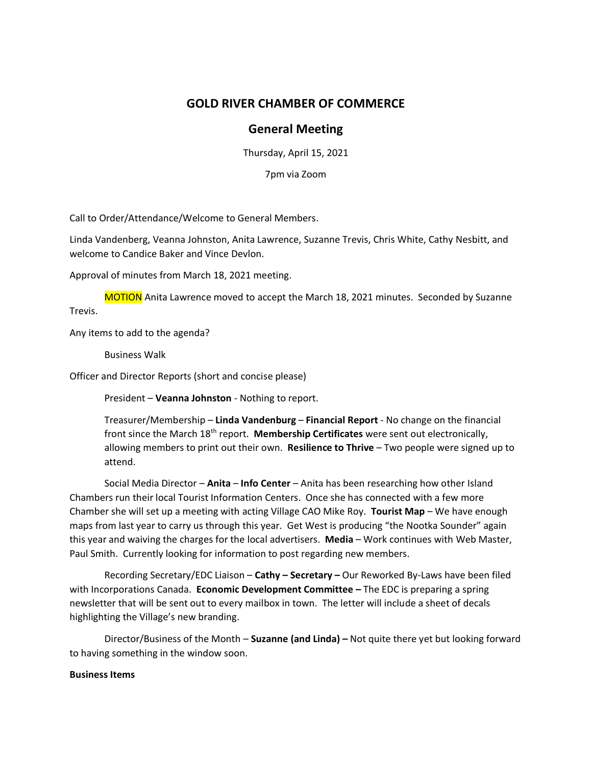## **GOLD RIVER CHAMBER OF COMMERCE**

## **General Meeting**

Thursday, April 15, 2021

7pm via Zoom

Call to Order/Attendance/Welcome to General Members.

Linda Vandenberg, Veanna Johnston, Anita Lawrence, Suzanne Trevis, Chris White, Cathy Nesbitt, and welcome to Candice Baker and Vince Devlon.

Approval of minutes from March 18, 2021 meeting.

MOTION Anita Lawrence moved to accept the March 18, 2021 minutes. Seconded by Suzanne Trevis.

Any items to add to the agenda?

Business Walk

Officer and Director Reports (short and concise please)

President – **Veanna Johnston** - Nothing to report.

Treasurer/Membership – **Linda Vandenburg** – **Financial Report** - No change on the financial front since the March 18<sup>th</sup> report. **Membership Certificates** were sent out electronically, allowing members to print out their own. **Resilience to Thrive** – Two people were signed up to attend.

Social Media Director – **Anita** – **Info Center** – Anita has been researching how other Island Chambers run their local Tourist Information Centers. Once she has connected with a few more Chamber she will set up a meeting with acting Village CAO Mike Roy. **Tourist Map** – We have enough maps from last year to carry us through this year. Get West is producing "the Nootka Sounder" again this year and waiving the charges for the local advertisers. **Media** – Work continues with Web Master, Paul Smith. Currently looking for information to post regarding new members.

Recording Secretary/EDC Liaison – **Cathy – Secretary –** Our Reworked By-Laws have been filed with Incorporations Canada. **Economic Development Committee –** The EDC is preparing a spring newsletter that will be sent out to every mailbox in town. The letter will include a sheet of decals highlighting the Village's new branding.

Director/Business of the Month – **Suzanne (and Linda) –** Not quite there yet but looking forward to having something in the window soon.

## **Business Items**